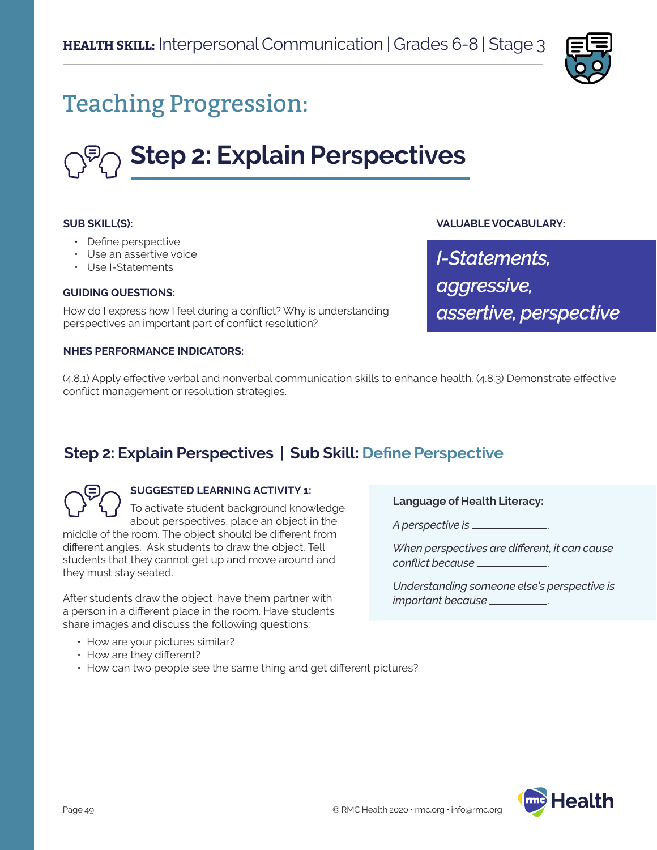

## Teaching Progression:

# **Step 2: Explain Perspectives**

## **SUB SKILL(S):**

- Define perspective
- Use an assertive voice
- Use I-Statements

#### **GUIDING QUESTIONS:**

How do I express how I feel during a conflict? Why is understanding perspectives an important part of conflict resolution?

## **NHES PERFORMANCE INDICATORS:**

## **VALUABLE VOCABULARY:**

*I-Statements, aggressive, assertive, perspective*

(4.8.1) Apply effective verbal and nonverbal communication skills to enhance health. (4.8.3) Demonstrate effective conflict management or resolution strategies.

## **Step 2: Explain Perspectives | Sub Skill: Define Perspective**



## **SUGGESTED LEARNING ACTIVITY 1:**

To activate student background knowledge about perspectives, place an object in the middle of the room. The object should be different from different angles. Ask students to draw the object. Tell students that they cannot get up and move around and they must stay seated.

After students draw the object, have them partner with a person in a different place in the room. Have students share images and discuss the following questions:

- How are your pictures similar?
- How are they different?
- How can two people see the same thing and get different pictures?

**Language of Health Literacy:**

*A perspective is* .

*When perspectives are different, it can cause conflict because* .

*Understanding someone else's perspective is important because* .

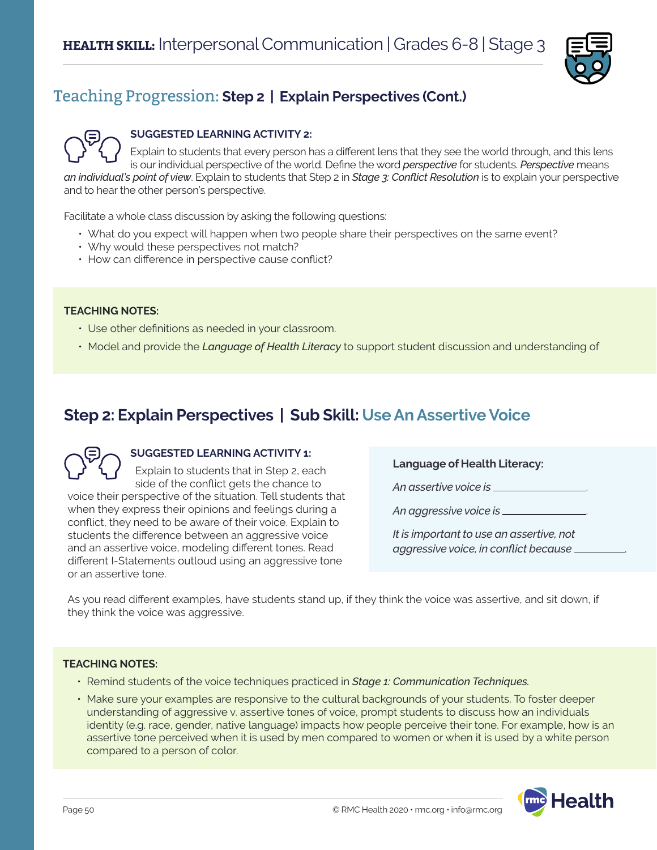

## Teaching Progression: **Step 2 | Explain Perspectives (Cont.)**



## **SUGGESTED LEARNING ACTIVITY 2:**

Explain to students that every person has a different lens that they see the world through, and this lens is our individual perspective of the world. Define the word *perspective* for students. *Perspective* means *an individual's point of view*. Explain to students that Step 2 in *Stage 3: Conflict Resolution* is to explain your perspective and to hear the other person's perspective.

Facilitate a whole class discussion by asking the following questions:

- What do you expect will happen when two people share their perspectives on the same event?
- Why would these perspectives not match?
- How can difference in perspective cause conflict?

#### **TEACHING NOTES:**

- Use other definitions as needed in your classroom.
- Model and provide the *Language of Health Literacy* to support student discussion and understanding of

## **Step 2: Explain Perspectives | Sub Skill: Use An Assertive Voice**



## **SUGGESTED LEARNING ACTIVITY 1:**

Explain to students that in Step 2, each side of the conflict gets the chance to voice their perspective of the situation. Tell students that when they express their opinions and feelings during a conflict, they need to be aware of their voice. Explain to students the difference between an aggressive voice and an assertive voice, modeling different tones. Read different I-Statements outloud using an aggressive tone or an assertive tone.

**Language of Health Literacy:**

*An assertive voice is* .

*An aggressive voice is* .

*It is important to use an assertive, not aggressive voice, in conflict because* .

As you read different examples, have students stand up, if they think the voice was assertive, and sit down, if they think the voice was aggressive.

#### **TEACHING NOTES:**

- Remind students of the voice techniques practiced in *Stage 1: Communication Techniques.*
- Make sure your examples are responsive to the cultural backgrounds of your students. To foster deeper understanding of aggressive v. assertive tones of voice, prompt students to discuss how an individuals identity (e.g. race, gender, native language) impacts how people perceive their tone. For example, how is an assertive tone perceived when it is used by men compared to women or when it is used by a white person compared to a person of color.